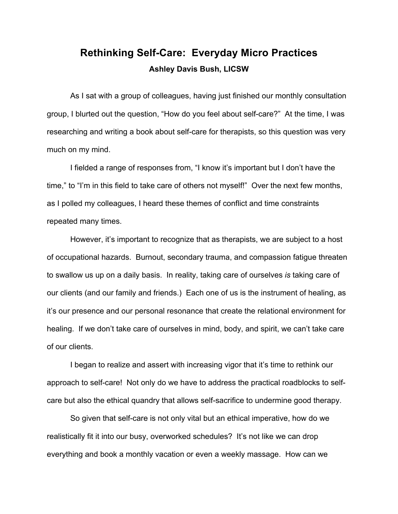# **Rethinking Self-Care: Everyday Micro Practices Ashley Davis Bush, LICSW**

As I sat with a group of colleagues, having just finished our monthly consultation group, I blurted out the question, "How do you feel about self-care?" At the time, I was researching and writing a book about self-care for therapists, so this question was very much on my mind.

I fielded a range of responses from, "I know it's important but I don't have the time," to "I'm in this field to take care of others not myself!" Over the next few months, as I polled my colleagues, I heard these themes of conflict and time constraints repeated many times.

However, it's important to recognize that as therapists, we are subject to a host of occupational hazards. Burnout, secondary trauma, and compassion fatigue threaten to swallow us up on a daily basis. In reality, taking care of ourselves *is* taking care of our clients (and our family and friends.) Each one of us is the instrument of healing, as it's our presence and our personal resonance that create the relational environment for healing. If we don't take care of ourselves in mind, body, and spirit, we can't take care of our clients.

I began to realize and assert with increasing vigor that it's time to rethink our approach to self-care! Not only do we have to address the practical roadblocks to selfcare but also the ethical quandry that allows self-sacrifice to undermine good therapy.

So given that self-care is not only vital but an ethical imperative, how do we realistically fit it into our busy, overworked schedules? It's not like we can drop everything and book a monthly vacation or even a weekly massage. How can we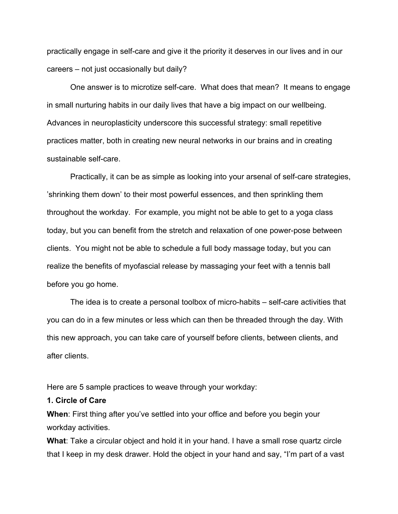practically engage in self-care and give it the priority it deserves in our lives and in our careers – not just occasionally but daily?

One answer is to microtize self-care. What does that mean? It means to engage in small nurturing habits in our daily lives that have a big impact on our wellbeing. Advances in neuroplasticity underscore this successful strategy: small repetitive practices matter, both in creating new neural networks in our brains and in creating sustainable self-care.

Practically, it can be as simple as looking into your arsenal of self-care strategies, 'shrinking them down' to their most powerful essences, and then sprinkling them throughout the workday. For example, you might not be able to get to a yoga class today, but you can benefit from the stretch and relaxation of one power-pose between clients. You might not be able to schedule a full body massage today, but you can realize the benefits of myofascial release by massaging your feet with a tennis ball before you go home.

The idea is to create a personal toolbox of micro-habits – self-care activities that you can do in a few minutes or less which can then be threaded through the day. With this new approach, you can take care of yourself before clients, between clients, and after clients.

Here are 5 sample practices to weave through your workday:

#### **1. Circle of Care**

**When**: First thing after you've settled into your office and before you begin your workday activities.

**What**: Take a circular object and hold it in your hand. I have a small rose quartz circle that I keep in my desk drawer. Hold the object in your hand and say, "I'm part of a vast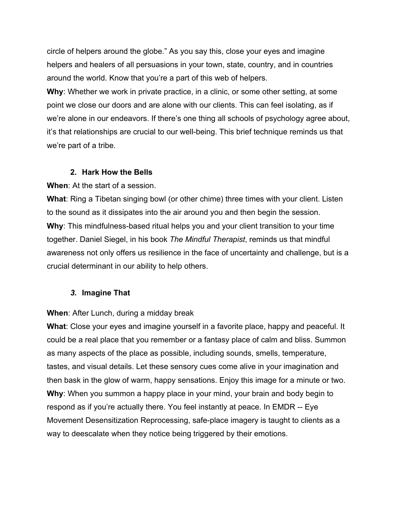circle of helpers around the globe." As you say this, close your eyes and imagine helpers and healers of all persuasions in your town, state, country, and in countries around the world. Know that you're a part of this web of helpers.

**Why**: Whether we work in private practice, in a clinic, or some other setting, at some point we close our doors and are alone with our clients. This can feel isolating, as if we're alone in our endeavors. If there's one thing all schools of psychology agree about, it's that relationships are crucial to our well-being. This brief technique reminds us that we're part of a tribe.

# **2. Hark How the Bells**

**When**: At the start of a session.

**What**: Ring a Tibetan singing bowl (or other chime) three times with your client. Listen to the sound as it dissipates into the air around you and then begin the session. **Why**: This mindfulness-based ritual helps you and your client transition to your time together. Daniel Siegel, in his book *The Mindful Therapist*, reminds us that mindful awareness not only offers us resilience in the face of uncertainty and challenge, but is a crucial determinant in our ability to help others.

# *3.* **Imagine That**

**When**: After Lunch, during a midday break

**What**: Close your eyes and imagine yourself in a favorite place, happy and peaceful. It could be a real place that you remember or a fantasy place of calm and bliss. Summon as many aspects of the place as possible, including sounds, smells, temperature, tastes, and visual details. Let these sensory cues come alive in your imagination and then bask in the glow of warm, happy sensations. Enjoy this image for a minute or two. **Why**: When you summon a happy place in your mind, your brain and body begin to respond as if you're actually there. You feel instantly at peace. In EMDR -- Eye Movement Desensitization Reprocessing, safe-place imagery is taught to clients as a way to deescalate when they notice being triggered by their emotions.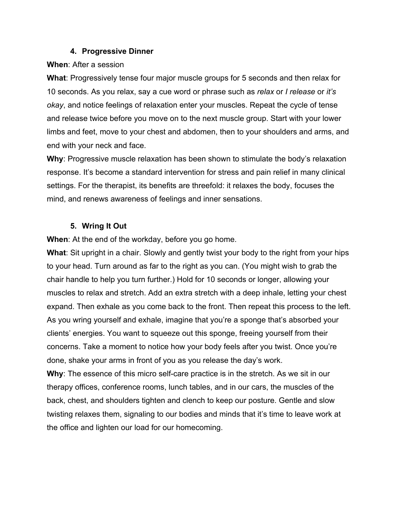#### **4. Progressive Dinner**

#### **When**: After a session

**What**: Progressively tense four major muscle groups for 5 seconds and then relax for 10 seconds. As you relax, say a cue word or phrase such as *relax* or *I release* or *it's okay*, and notice feelings of relaxation enter your muscles. Repeat the cycle of tense and release twice before you move on to the next muscle group. Start with your lower limbs and feet, move to your chest and abdomen, then to your shoulders and arms, and end with your neck and face.

**Why**: Progressive muscle relaxation has been shown to stimulate the body's relaxation response. It's become a standard intervention for stress and pain relief in many clinical settings. For the therapist, its benefits are threefold: it relaxes the body, focuses the mind, and renews awareness of feelings and inner sensations.

# **5. Wring It Out**

**When**: At the end of the workday, before you go home.

**What**: Sit upright in a chair. Slowly and gently twist your body to the right from your hips to your head. Turn around as far to the right as you can. (You might wish to grab the chair handle to help you turn further.) Hold for 10 seconds or longer, allowing your muscles to relax and stretch. Add an extra stretch with a deep inhale, letting your chest expand. Then exhale as you come back to the front. Then repeat this process to the left. As you wring yourself and exhale, imagine that you're a sponge that's absorbed your clients' energies. You want to squeeze out this sponge, freeing yourself from their concerns. Take a moment to notice how your body feels after you twist. Once you're done, shake your arms in front of you as you release the day's work.

**Why**: The essence of this micro self-care practice is in the stretch. As we sit in our therapy offices, conference rooms, lunch tables, and in our cars, the muscles of the back, chest, and shoulders tighten and clench to keep our posture. Gentle and slow twisting relaxes them, signaling to our bodies and minds that it's time to leave work at the office and lighten our load for our homecoming.